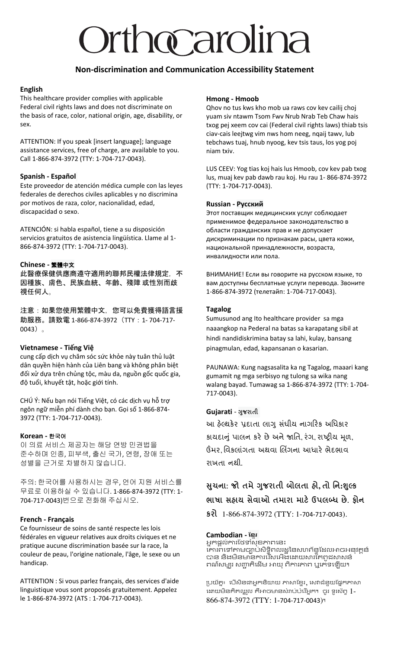# Orthocarolina

#### **Non-discrimination and Communication Accessibility Statement**

#### **English**

This healthcare provider complies with applicable Federal civil rights laws and does not discriminate on the basis of race, color, national origin, age, disability, or sex.

ATTENTION: If you speak [insert language]; language assistance services, free of charge, are available to you. Call 1-866-874-3972 (TTY: 1-704-717-0043).

#### **Spanish - Español**

Este proveedor de atención médica cumple con las leyes federales de derechos civiles aplicables y no discrimina por motivos de raza, color, nacionalidad, edad, discapacidad o sexo.

ATENCIÓN: si habla español, tiene a su disposición servicios gratuitos de asistencia lingüística. Llame al 1- 866-874-3972 (TTY: 1-704-717-0043).

#### **Chinese -** 繁體中文

此醫療保健供應商遵守適用的聯邦民權法律規定,不 因種族、膚色、民族血統、年齡、殘障 或性別而歧 視任何人。

注意:如果您使用繁體中文, 您可以免費獲得語言援 助服務。請致電 1-866-874-3972 (TTY: 1-704-717-0043)。

#### **Vietnamese - Tiếng Việ**

cung cấp dịch vụ chăm sóc sức khỏe này tuân thủ luật dân quyền hiện hành của Liên bang và không phân biệt đối xử dựa trên chủng tộc, màu da, nguồn gốc quốc gia, độ tuổi, khuyết tật, hoặc giới tính.

CHÚ Ý: Nếu bạn nói Tiếng Việt, có các dịch vụ hỗ trợ ngôn ngữ miễn phí dành cho bạn. Gọi số 1-866-874- 3972 (TTY: 1-704-717-0043).

#### **Korean -** 한국어

이 의료 서비스 제공자는 해당 연방 민권법을 준수하며 인종, 피부색, 출신 국가, 연령, 장애 또는 성별을 근거로 차별하지 않습니다.

주의: 한국어를 사용하시는 경우, 언어 지원 서비스를 무료로 이용하실 수 있습니다. 1-866-874-3972 (TTY: 1- 704-717-0043)번으로 전화해 주십시오.

#### **French - Français**

Ce fournisseur de soins de santé respecte les lois fédérales en vigueur relatives aux droits civiques et ne pratique aucune discrimination basée sur la race, la couleur de peau, l'origine nationale, l'âge, le sexe ou un handicap.

ATTENTION : Si vous parlez français, des services d'aide linguistique vous sont proposés gratuitement. Appelez le 1-866-874-3972 (ATS : 1-704-717-0043).

#### **Hmong - Hmoob**

Qhov no tus kws kho mob ua raws cov kev cailij choj yuam siv ntawm Tsom Fwv Nrub Nrab Teb Chaw hais txog pej xeem cov cai (Federal civil rights laws) thiab tsis ciav-cais leejtwg vim nws hom neeg, nqaij tawv, lub tebchaws tuaj, hnub nyoog, kev tsis taus, los yog poj niam txiv.

LUS CEEV: Yog tias koj hais lus Hmoob, cov kev pab txog lus, muaj kev pab dawb rau koj. Hu rau 1- 866-874-3972 (TTY: 1-704-717-0043).

#### **Russian - Русский**

Этот поставщик медицинских услуг соблюдает применимое федеральное законодательство в области гражданских прав и не допускает дискриминации по признакам расы, цвета кожи, национальной принадлежности, возраста, инвалидности или пола.

ВНИМАНИЕ! Если вы говорите на русском языке, то вам доступны бесплатные услуги перевода. Звоните 1-866-874-3972 (телетайп: 1-704-717-0043).

#### **Tagalog**

Sumusunod ang Ito healthcare provider sa mga naaangkop na Pederal na batas sa karapatang sibil at hindi nandidiskrimina batay sa lahi, kulay, bansang pinagmulan, edad, kapansanan o kasarian.

PAUNAWA: Kung nagsasalita ka ng Tagalog, maaari kang gumamit ng mga serbisyo ng tulong sa wika nang walang bayad. Tumawag sa 1-866-874-3972 (TTY: 1-704- 717-0043).

#### **Gujarati** - **ગજરાતી ુ**

આ હેલ્થકેર પ્રદાતા લાગુ સંઘીય નાગરિક અધિકાર કાયદાનું પાલન કરે છે અને જાતિ, રંગ, રાષ્ટ્રીય મૂળ, ઉંમર, વિકલાંગતા અથવા લિંગના આધારે ભેદભાવ રાખતા નથી.

### **સચના: જો ુ તમે ગજરાતી બોલતા હો ુ , તો નન:શલ્ક ુ ભાષા સહાય સેવાઓ તમારા માટે ઉપલબ્ધ છે. ફોન**

**કરો** 1-866-874-3972 (TTY: 1-704-717-0043).

#### **Cambodian - ខ្មែរ**

អ្នកផ្ដល់ការថែទាំសុខភាពនេះ គោរពទៅតាមច្បាប់សិទ្ធិពលរដ្ឋនៃសហព័ន្ធដែលអាចអនុវត្តន៍ បាន និងមិនមានការរើសអើងដោយសារតែពូជសាសន៍ ពណ៌សម្បុរ សញ្ជាតិដើម អាយុ ពិការភាព ឬកេទឡើយ។

ប្រយ័ត្ន៖ បើសិនជាអ្នកនិយាយ ភាសាខ្មែរ, សេវាជំនួយផ្នែកភាសា នោយមិនគិតឈ្លួល គឺអាចមានសំរាប់បំរើអ្នក។ ចូរ ទូរស័ព្ទ 1-866-874-3972 (TTY: 1-704-717-0043)។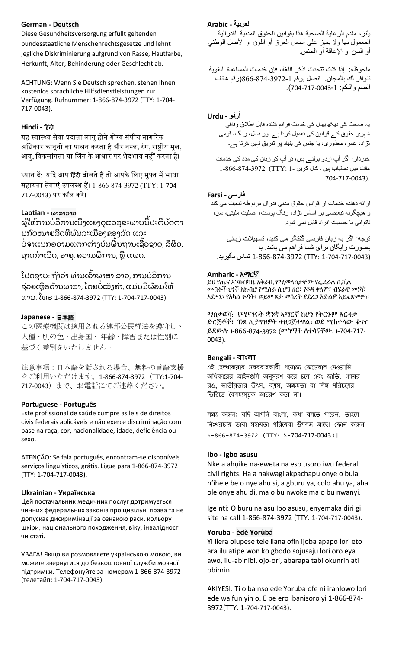#### **German - Deutsch**

Diese Gesundheitsversorgung erfüllt geltenden bundesstaatliche Menschenrechtsgesetze und lehnt jegliche Diskriminierung aufgrund von Rasse, Hautfarbe, Herkunft, Alter, Behinderung oder Geschlecht ab.

ACHTUNG: Wenn Sie Deutsch sprechen, stehen Ihnen kostenlos sprachliche Hilfsdienstleistungen zur Verfügung. Rufnummer: 1-866-874-3972 (TTY: 1-704- 717-0043).

#### **Hindi - ह िंदी**

यह स्वास्थ्य सेवा प्रदाता लागू होने योग्य संघीय नागरिक अधिकार कानूनों का पालन करता है और नस्ल, रंग, राष्ट्रीय मूल, आयु, विकलांगता या लिंग के आधार पर भेदभाव नहीं करता है।

ध्यान दें: यदि आप हिंदी बोलते हैं तो आपके लिए मुफ्त में भाषा सहायता सेवाएं उपलब्ध हैं। 1-866-874-3972 (TTY: 1-704-717-0043) पि कॉल किें।

#### **Laotian -** ພາສາລາວ

ຜູ້ໃຫ້ການບໍລິການເບິ່ງແຍງດູແລສຸຂະພາບນີປະຕິບັດຕາ ມກົດໝາຍສິດທິພົນລະເມືອງຂອງລັດ ແລະ ໍ ິ່ ບໍ່ຈຳແນກຄວາມແຕກຕ່າງບົນພື້ນຖານເຊື້ອຊາດ, ສີຜິວ, ຊາດກາເນີດ, ອາຍຸ, ຄວາມພິການ, ຫຼື ແພດ.

ໂປດຊາບ: ຖ້າວ່າ ທ່ານເວົາພາສາ ລາວ, ການບໍລິການ ຊ່ວຍເຫຼືອດ້ານພາສາ, ໂດຍບໍ່ເສັ້ງຄ່າ, ແມ່ນມີພ້ອມໃຫ້ ິ່ ທິ່ ານ. ໂທຣ 1-866-874-3972 (TTY: 1-704-717-0043).

#### **Japanese -** 日本語

この医療機関は適用される連邦公民権法を遵守し、 人種、肌の色、出身国、 年齢、障害または性別に 基づく差別をいたしません。

注意事項:日本語を話される場合、無料の言語支援 をご利用いただけます。1-866-874-3972(TTY:1-704- 717-0043)まで、お電話にてご連絡ください。

#### **Portuguese - Português**

Este profissional de saúde cumpre as leis de direitos civis federais aplicáveis e não exerce discriminação com base na raça, cor, nacionalidade, idade, deficiência ou sexo.

ATENÇÃO: Se fala português, encontram-se disponíveis serviços linguísticos, grátis. Ligue para 1-866-874-3972 (TTY: 1-704-717-0043).

#### **Ukrainian - Українська**

Цей постачальник медичних послуг дотримується чинних федеральних законів про цивільні права та не допускає дискримінації за ознакою раси, кольору шкіри, національного походження, віку, інвалідності чи статі.

УВАГА! Якщо ви розмовляєте українською мовою, ви можете звернутися до безкоштовної служби мовної підтримки. Телефонуйте за номером 1-866-874-3972 (телетайп: 1-704-717-0043).

#### **العربية - Arabic**

يلتزم مقدم الرعاية الصحية هذا بقوانين الحقوق المدنية الفدرالية المعمول بها وال يميز على أساس العرق أو اللون أو األصل الوطني أو السن أو اإلعاقة أو الجنس.

ملحوظة: إذا كنت تتحدث اذكر اللغة، فإن خدمات المساعدة اللغوية تتوافر لك بالمجان. اتصل برقم 866-874-3972-1)رقم هاتف الصم والبكم: 704-717-0043-1(.

#### **ُر ُدو - Urdu ا**

یہ صحت کی دیکھ بھال کی خدمت فراہم کنندہ قابل اطالق وفاقی شہری حقوق کے قوانین کی تعمیل کرتا ہے اور نسل، رنگ، قومی نژاد، عمر، معذوری، یا جنس کی بنیاد پر تفریق نہیں کرتا ہے۔

خبردار: اگر آپ اردو بولتے ہیں، تو آپ کو زبان کی مدد کی خدمات مفت میں دستیاب ہیں ۔ کال کریں -1 :TTY (1-866-874-3972 704-717-0043).

#### **فارسی - Farsi**

ارائه دهنده خدمات از قوانين حقوق مدنی فدرال مربوطه تبعيت می کند و هيچگونه تبعيضی بر اساس نژاد، رنگ پوست، اصليت مليتی، سن، ناتوانی يا جنسيت افراد قايل نمی شود.

توجه: اگر به زبان فارسی گفتگو می کنيد، تسهيالت زبانی بصورت رايگان برای شما فراهم می باشد. با (1-704-717-0043 :TTY (1-866-874-3972 تماس بگيريد.

#### **Amharic -** አማርኛ

ይህ የጤና እንክብካቤ አቅራቢ የሚመለከታቸው የፌደራል ሲቪል መብቶች ህጎች አክብሮ የሚሰራ ሲሆን ዘር፣ የቆዳ ቀለም፣ ብሄራዊ መነሻ፣ እድሜ፣ የአካል ጉዳት፣ ወይም ጾታ መሰረት ያደረጋ አድልዎ አይፈጽምም።

ማስታወሻ: የሚናገሩት ቋንቋ ኣማርኛ ከሆነ የትርጉም እርዳታ ድርጅቶች፣ በነጻ ሊያግዝዎት ተዘጋጀተዋል፡ ወደ ሚከተለው ቁጥር ይደውሉ 1-866-874-3972 (መስማት ለተሳናቸው: 1-704-717- 0043).

#### **Bengali - বাাংলা**

এই হেল্থকেয়ার সরবরাহকারী প্রযোজ্য ফেডেরাল দেওয়ানি অধিকারের আইনগুলি অনুসরণ করে চলে এবং জাতি, গায়ের রঙ, জাতীয়তার উৎস, বয়স, অক্ষমতা বা লিঙ্গ পরিচয়ের ভিত্তিতে বৈষম্যসূচক আচরণ করে না।

লক্ষ্য করুনঃ যদি আপনি বাংলা, কথা বলতে পারেন, তাহলে নিঃখরচায় ভাষা সহায়তা পরিষেবা উপলব্ধ আছে। ফোন করুন ১-866-874-3972 (TTY: ১-704-717-0043)।

#### **Ibo - Igbo asusu**

Nke a ahụike na-eweta na eso usoro iwu federal civil rights. Ha a nakwagi akpachapu onye o bula n'ihe e be o nye ahu si, a gburu ya, colo ahu ya, aha ole onye ahu di, ma o bu nwoke ma o bu nwanyi.

Ige nti: O buru na asu Ibo asusu, enyemaka diri gi site na call 1-866-874-3972 (TTY: 1-704-717-0043).

#### **Yoruba - èdè Yorùbá**

Yi ilera olupese tele ilana ofin ijoba apapo lori eto ara ilu atipe won ko gbodo sojusaju lori oro eya awo, ilu-abinibi, ojo-ori, abarapa tabi okunrin ati obinrin.

AKIYESI: Ti o ba nso ede Yoruba ofe ni iranlowo lori ede wa fun yin o. E pe ero ibanisoro yi 1-866-874- 3972(TTY: 1-704-717-0043).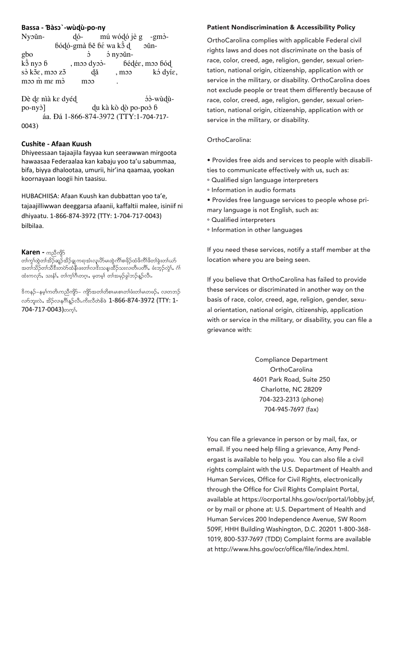#### **Bassa - Ɓàs -wùɖù-po-ny**

| Nyoun-          | $d\acute{o}$ - mú wódó jè g -gm $\grave{o}$ -                |                 |                      |
|-----------------|--------------------------------------------------------------|-----------------|----------------------|
|                 | $\frac{6}{9}$ ódó-gmà $6e$ $6e$ wa k $\frac{6}{9}$ d         |                 | -oŭn                 |
| gbo<br>kồ nyo ɓ | $\mathfrak{S}$                                               | $\delta$ nyoŭn- |                      |
|                 | , m <sub>2</sub> dy <sup>3</sup> - bédée, m <sub>2</sub> bód |                 |                      |
| sò kõε, moo zõ  | dă                                                           | , m             | k <sup>3</sup> dyίε, |
| moo m me mò     | moo                                                          | ٠               |                      |

Dè de nìà ke dyéd ɔ -wùɖùpo-nyɔ ] ɖu kà kò ɖò po-poɔ ɓ áa. Đá 1-866-874-3972 (TTY:1-704-717-0043)

#### **Cushite - Afaan Kuush**

Dhiyeessaan tajaajila fayyaa kun seerawwan mirgoota hawaasaa Federaalaa kan kabaju yoo ta'u sabummaa, bifa, biyya dhalootaa, umurii, hir'ina qaamaa, yookan koornayaan loogii hin taasisu.

HUBACHIISA: Afaan Kuush kan dubbattan yoo ta'e, tajaajilliwwan deeggarsa afaanii, kaffaltii malee, isiniif ni dhiyaatu. 1-866-874-3972 (TTY: 1-704-717-0043) bilbilaa.

#### $Karen - \infty$ ညီကျိ $5$

တၢ်ကွ၊်ထွဲတၢ်အိဉ်ဆုဉ်အိဉ်ချ ကရ၊အံ၊လူ၊ဟိမ၊ထွဲကိၢိစ၊ဖိုဉ်ထံဖိကိၢိဖိတ၊်ခွဲးတ၊်ယာ် အတၢ်သိဉ်တၢ်သိဒီးတပ်ာ်ထံနီးဖးတ၊်လာဒီးသန္းထိဉ်သးလ၊တိၤပတိၢ်, ဖံးဘုဉ်လွဲ၊်, ဂံ၊် ထံးကလု9်, သးနံ1်, တၢ်က္႐်ဂီဟဂ္ဂၤ, မှတမှာ် တၢ်အမုဉ်ခွါဘဉ်နဉ်လီၤ.

'&ကနဉ်–နမ့္ပ်ကတိၤကညီကျိ9်– ကျိ9်အတ္တ်တိစာများစားတ်ဖီးတ္က်မဟေဖဉ်, လာတဘဉ် လက်ဘူးလဲ, အိဉ်လာနဂိၢိန္ဉ်လီး ကိႏလီတဲစိဖဲ  $1$ -866-874-3972 (TTY: 1-704-717-0043) mm.

#### **Patient Nondiscrimination & Accessibility Policy** Patient Nondiscrimination & Accessibility Policy

OrthoCarolina complies with applicable Federal civil rights laws and does not discriminate on the basis of race, color, creed, age, religion, gender, sexual orientation, national origin, citizenship, application with or service in the military, or disability. OrthoCarolina does not exclude people or treat them differently because of race, color, creed, age, religion, gender, sexual orientation, national origin, citizenship, application with or service in the military, or disability.

#### $T$  and  $T$  is providers:  $T$  is provided its providers:  $T$  is provided its providers:  $T$  is provided its providers:  $T$  is provided its providers:  $T$  is provided its providers:  $T$  is provided its providers:  $T$  is pr OrthoCarolina:

• Provides free aids and services to people with disabilities to communicate effectively with us, such as:

- Qualified sign language interpreters ° Qualified sign language interpreters
- ° Information in audio formats
- Provides free language services to people whose primary language is not English, such as:
- $\circ$  Qualified interpreters
- $\circ$  Information in other languages

If you need these services, notify a staff member at the location where you are being seen.

J<br>these services or discriminated in another way on the basis of race, color, creed, age, religion, gender, sexuhas failed to provide these services or discriminated in the services of the services of the services of the services of the services of the services or discriminate or discriminate  $\frac{1}{2}$ and an order  $\gamma$  and basis of  $\beta$  rate, color, color, creed, and  $\beta$ with or service in the military, or disability, you can file a<br>arisonase with  $c_{\rm c}$  and  $c_{\rm c}$  application with order with order military, order with order  $\alpha$ If you believe that OrthoCarolina has failed to provide grievance with:

> Compliance Department OrthoCarolina 4601 Park Road, Suite 250 Charlotte, NC 28209 704-323-2313 (phone) 704-323-2313 (phone) 704-945-7697 (fax) 704-945-7697 (fax)

email. If you need help filing a grievance, Amy Pendemain. If you need help filling a grievance, Amy Portal<br>ergast is available to help you. You can also file a civil Pendergast is available to help you. You can also file a rights complaint with the U.S. Department of Health and civil rights complaint with the U.S. Department of Health Human Services, Office for Civil Rights, electronically and Human Services, Office for Civil Rights, through the Office for Civil Rights Complaint Portal, en organisme of through the Afganco complement of the  $\sim$ aramatic at imperite pertamining energy person temperature.<br>or by mail or phone at: U.S. Department of Health and or by man or priorio and order beparement or recentration<br>Human Services 200 Independence Avenue, SW Room mail or phone at: U.S. Department of Health and Human 509F, HHH Building Washington, D.C. 20201 1-800-368- Services 200 Independence Avenue, SW Room 509F, 1019, 800-537-7697 (TDD) Complaint forms are available  $H_{\text{H}} = \frac{H_{\text{H}}}{2\pi\epsilon_0} \frac{1}{2\pi\epsilon_0} \frac{1}{\epsilon_0} \frac{1}{\epsilon_0} \frac{1}{\epsilon_0} \frac{1}{\epsilon_0} \frac{1}{\epsilon_0} \frac{1}{\epsilon_0} \frac{1}{\epsilon_0} \frac{1}{\epsilon_0} \frac{1}{\epsilon_0} \frac{1}{\epsilon_0} \frac{1}{\epsilon_0} \frac{1}{\epsilon_0} \frac{1}{\epsilon_0} \frac{1}{\epsilon_0} \frac{1}{\epsilon_0} \frac{1}{\epsilon_0} \frac{1}{\epsilon_0} \frac{1}{\epsilon_0}$ at http://www.hhs.gov/ocr/office/file/index.html.<br> You can file a grievance in person or by mail, fax, or